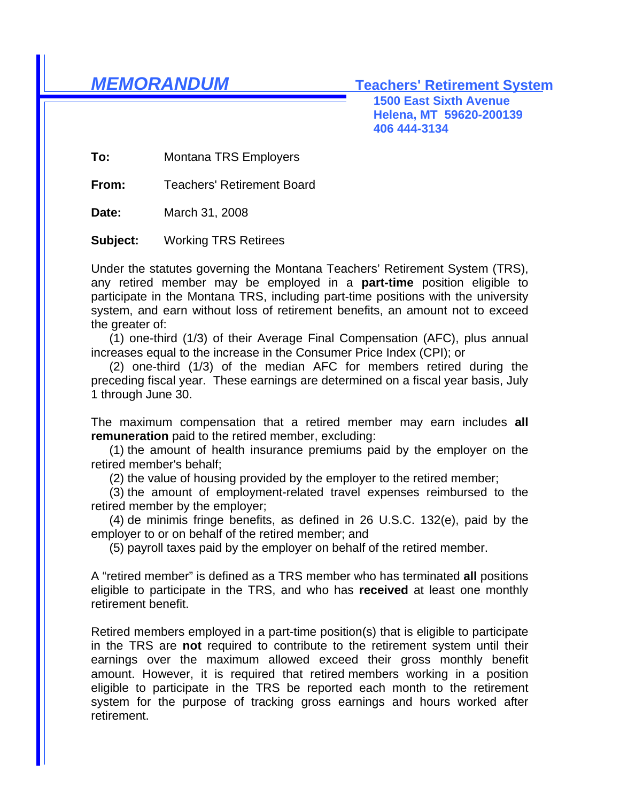*MEMORANDUM* **Teachers' Retirement System**

**1500 East Sixth Avenue Helena, MT 59620-200139 406 444-3134**

**To:** Montana TRS Employers

**From:** Teachers' Retirement Board

**Date:** March 31, 2008

**Subject:** Working TRS Retirees

Under the statutes governing the Montana Teachers' Retirement System (TRS), any retired member may be employed in a **part-time** position eligible to participate in the Montana TRS, including part-time positions with the university system, and earn without loss of retirement benefits, an amount not to exceed the greater of:

 (1) one-third (1/3) of their Average Final Compensation (AFC), plus annual increases equal to the increase in the Consumer Price Index (CPI); or

 (2) one-third (1/3) of the median AFC for members retired during the preceding fiscal year. These earnings are determined on a fiscal year basis, July 1 through June 30.

The maximum compensation that a retired member may earn includes **all remuneration** paid to the retired member, excluding:

 (1) the amount of health insurance premiums paid by the employer on the retired member's behalf;

(2) the value of housing provided by the employer to the retired member;

 (3) the amount of employment-related travel expenses reimbursed to the retired member by the employer;

 (4) de minimis fringe benefits, as defined in 26 U.S.C. 132(e), paid by the employer to or on behalf of the retired member; and

(5) payroll taxes paid by the employer on behalf of the retired member.

A "retired member" is defined as a TRS member who has terminated **all** positions eligible to participate in the TRS, and who has **received** at least one monthly retirement benefit.

Retired members employed in a part-time position(s) that is eligible to participate in the TRS are **not** required to contribute to the retirement system until their earnings over the maximum allowed exceed their gross monthly benefit amount. However, it is required that retired members working in a position eligible to participate in the TRS be reported each month to the retirement system for the purpose of tracking gross earnings and hours worked after retirement.